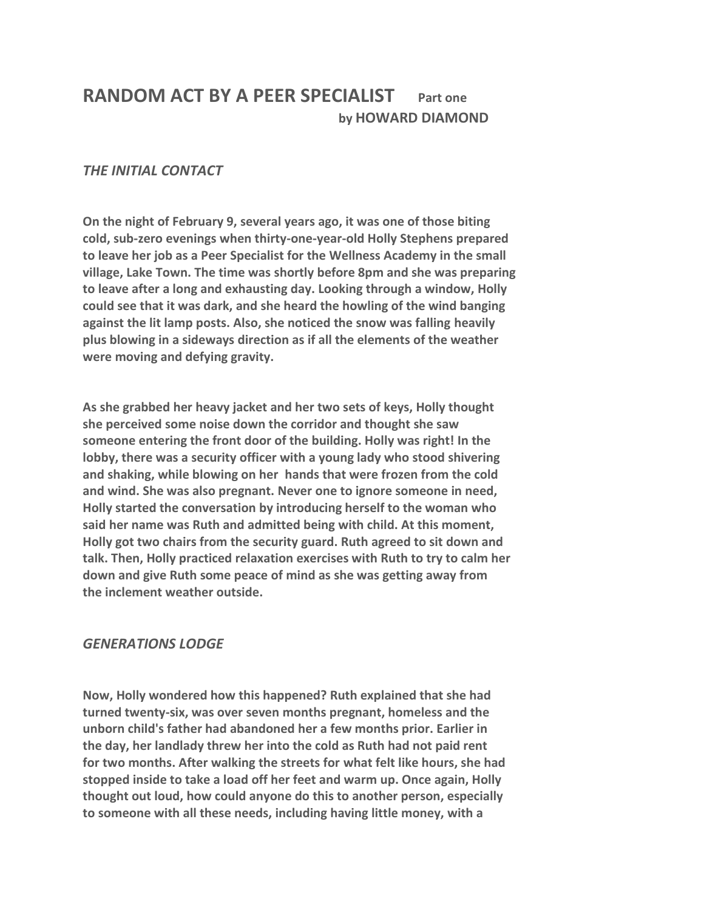## **RANDOM ACT BY A PEER SPECIALIST Part one by HOWARD DIAMOND**

## *THE INITIAL CONTACT*

**On the night of February 9, several years ago, it was one of those biting cold, sub-zero evenings when thirty-one-year-old Holly Stephens prepared to leave her job as a Peer Specialist for the Wellness Academy in the small village, Lake Town. The time was shortly before 8pm and she was preparing to leave after a long and exhausting day. Looking through a window, Holly could see that it was dark, and she heard the howling of the wind banging against the lit lamp posts. Also, she noticed the snow was falling heavily plus blowing in a sideways direction as if all the elements of the weather were moving and defying gravity.**

**As she grabbed her heavy jacket and her two sets of keys, Holly thought she perceived some noise down the corridor and thought she saw someone entering the front door of the building. Holly was right! In the lobby, there was a security officer with a young lady who stood shivering and shaking, while blowing on her hands that were frozen from the cold and wind. She was also pregnant. Never one to ignore someone in need, Holly started the conversation by introducing herself to the woman who said her name was Ruth and admitted being with child. At this moment, Holly got two chairs from the security guard. Ruth agreed to sit down and talk. Then, Holly practiced relaxation exercises with Ruth to try to calm her down and give Ruth some peace of mind as she was getting away from the inclement weather outside.**

## *GENERATIONS LODGE*

**Now, Holly wondered how this happened? Ruth explained that she had turned twenty-six, was over seven months pregnant, homeless and the unborn child's father had abandoned her a few months prior. Earlier in the day, her landlady threw her into the cold as Ruth had not paid rent for two months. After walking the streets for what felt like hours, she had stopped inside to take a load off her feet and warm up. Once again, Holly thought out loud, how could anyone do this to another person, especially to someone with all these needs, including having little money, with a**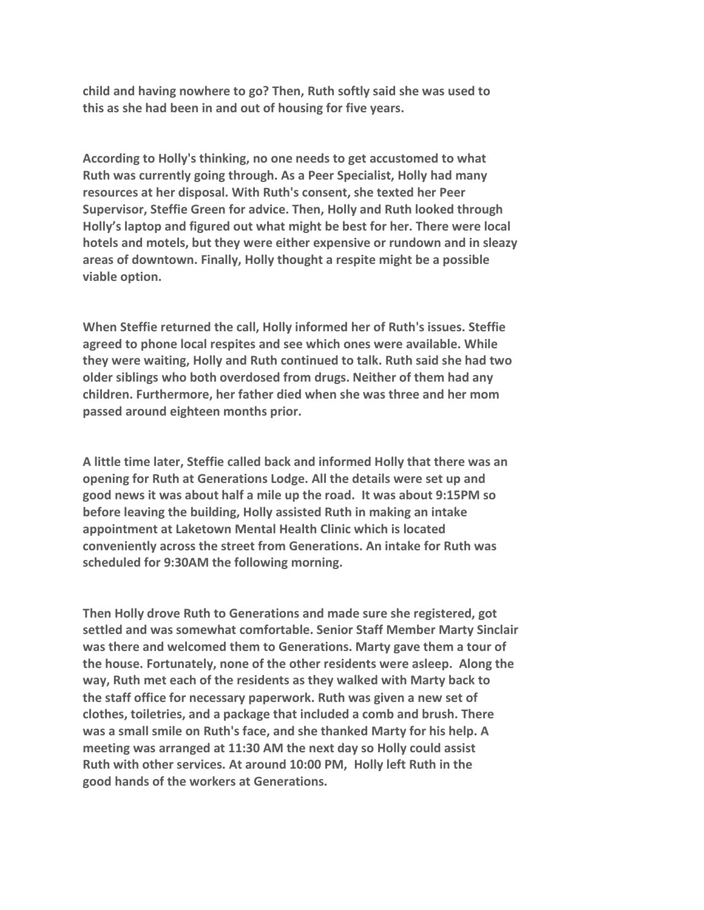**child and having nowhere to go? Then, Ruth softly said she was used to this as she had been in and out of housing for five years.**

**According to Holly's thinking, no one needs to get accustomed to what Ruth was currently going through. As a Peer Specialist, Holly had many resources at her disposal. With Ruth's consent, she texted her Peer Supervisor, Steffie Green for advice. Then, Holly and Ruth looked through Holly's laptop and figured out what might be best for her. There were local hotels and motels, but they were either expensive or rundown and in sleazy areas of downtown. Finally, Holly thought a respite might be a possible viable option.**

**When Steffie returned the call, Holly informed her of Ruth's issues. Steffie agreed to phone local respites and see which ones were available. While they were waiting, Holly and Ruth continued to talk. Ruth said she had two older siblings who both overdosed from drugs. Neither of them had any children. Furthermore, her father died when she was three and her mom passed around eighteen months prior.**

**A little time later, Steffie called back and informed Holly that there was an opening for Ruth at Generations Lodge. All the details were set up and good news it was about half a mile up the road. It was about 9:15PM so before leaving the building, Holly assisted Ruth in making an intake appointment at Laketown Mental Health Clinic which is located conveniently across the street from Generations. An intake for Ruth was scheduled for 9:30AM the following morning.**

**Then Holly drove Ruth to Generations and made sure she registered, got settled and was somewhat comfortable. Senior Staff Member Marty Sinclair was there and welcomed them to Generations. Marty gave them a tour of the house. Fortunately, none of the other residents were asleep. Along the way, Ruth met each of the residents as they walked with Marty back to the staff office for necessary paperwork. Ruth was given a new set of clothes, toiletries, and a package that included a comb and brush. There was a small smile on Ruth's face, and she thanked Marty for his help. A meeting was arranged at 11:30 AM the next day so Holly could assist Ruth with other services. At around 10:00 PM, Holly left Ruth in the good hands of the workers at Generations.**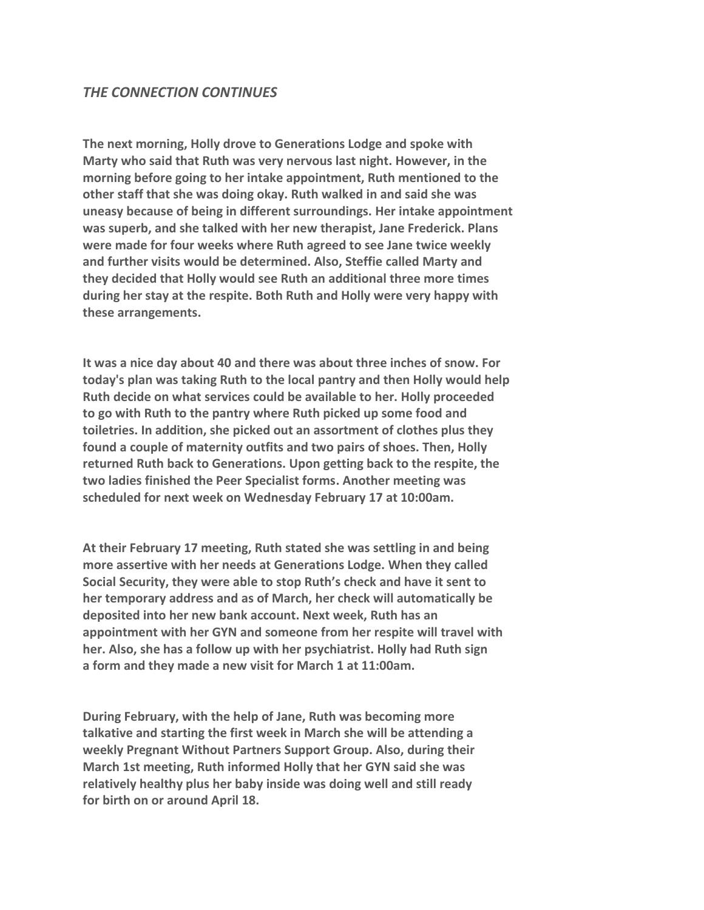**The next morning, Holly drove to Generations Lodge and spoke with Marty who said that Ruth was very nervous last night. However, in the morning before going to her intake appointment, Ruth mentioned to the other staff that she was doing okay. Ruth walked in and said she was uneasy because of being in different surroundings. Her intake appointment was superb, and she talked with her new therapist, Jane Frederick. Plans were made for four weeks where Ruth agreed to see Jane twice weekly and further visits would be determined. Also, Steffie called Marty and they decided that Holly would see Ruth an additional three more times during her stay at the respite. Both Ruth and Holly were very happy with these arrangements.**

**It was a nice day about 40 and there was about three inches of snow. For today's plan was taking Ruth to the local pantry and then Holly would help Ruth decide on what services could be available to her. Holly proceeded to go with Ruth to the pantry where Ruth picked up some food and toiletries. In addition, she picked out an assortment of clothes plus they found a couple of maternity outfits and two pairs of shoes. Then, Holly returned Ruth back to Generations. Upon getting back to the respite, the two ladies finished the Peer Specialist forms. Another meeting was scheduled for next week on Wednesday February 17 at 10:00am.**

**At their February 17 meeting, Ruth stated she was settling in and being more assertive with her needs at Generations Lodge. When they called Social Security, they were able to stop Ruth's check and have it sent to her temporary address and as of March, her check will automatically be deposited into her new bank account. Next week, Ruth has an appointment with her GYN and someone from her respite will travel with her. Also, she has a follow up with her psychiatrist. Holly had Ruth sign a form and they made a new visit for March 1 at 11:00am.**

**During February, with the help of Jane, Ruth was becoming more talkative and starting the first week in March she will be attending a weekly Pregnant Without Partners Support Group. Also, during their March 1st meeting, Ruth informed Holly that her GYN said she was relatively healthy plus her baby inside was doing well and still ready for birth on or around April 18.**